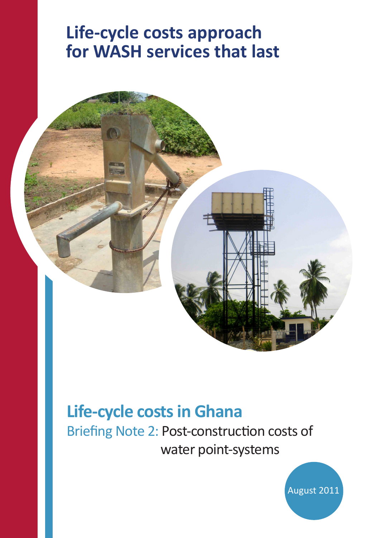# **Life-cycle costs approach for WASH services that last**



## **Life-cycle costs in Ghana**

Briefing Note 2: Post-construction costs of water point-systems

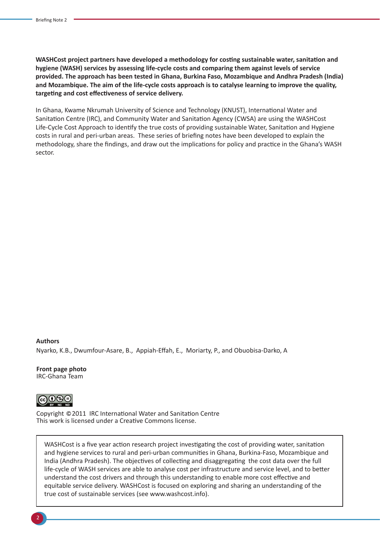**WASHCost project partners have developed a methodology for costing sustainable water, sanitation and hygiene (WASH) services by assessing life-cycle costs and comparing them against levels of service provided. The approach has been tested in Ghana, Burkina Faso, Mozambique and Andhra Pradesh (India) and Mozambique. The aim of the life-cycle costs approach is to catalyse learning to improve the quality, targeting and cost effectiveness of service delivery.**

In Ghana, Kwame Nkrumah University of Science and Technology (KNUST), International Water and Sanitation Centre (IRC), and Community Water and Sanitation Agency (CWSA) are using the WASHCost Life-Cycle Cost Approach to identify the true costs of providing sustainable Water, Sanitation and Hygiene costs in rural and peri-urban areas. These series of briefing notes have been developed to explain the methodology, share the findings, and draw out the implications for policy and practice in the Ghana's WASH sector.

**Authors**  Nyarko, K.B., Dwumfour-Asare, B., Appiah-Effah, E., Moriarty, P., and Obuobisa-Darko, A

**Front page photo** IRC-Ghana Team



Copyright 2011 IRC International Water and Sanitation Centre This work is licensed under a Creative Commons license.

WASHCost is a five year action research project investigating the cost of providing water, sanitation and hygiene services to rural and peri-urban communities in Ghana, Burkina-Faso, Mozambique and India (Andhra Pradesh). The objectives of collecting and disaggregating the cost data over the full life-cycle of WASH services are able to analyse cost per infrastructure and service level, and to better understand the cost drivers and through this understanding to enable more cost effective and equitable service delivery. WASHCost is focused on exploring and sharing an understanding of the true cost of sustainable services (see www.washcost.info).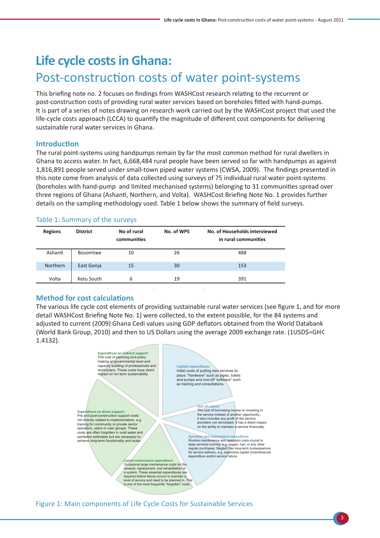### **Life cycle costs in Ghana:**  Post-construction costs of water point-systems

This briefing note no. 2 focuses on findings from WASHCost research relating to the recurrent or post-construction costs of providing rural water services based on boreholes fitted with hand-pumps. It is part of a series of notes drawing on research work carried out by the WASHCost project that used the life-cycle costs approach (LCCA) to quantify the magnitude of different cost components for delivering sustainable rural water services in Ghana.

#### **Introduction**

The rural point-systems using handpumps remain by far the most common method for rural dwellers in Ghana to access water. In fact, 6,668,484 rural people have been served so far with handpumps as against 1,816,891 people served under small-town piped water systems (CWSA, 2009). The findings presented in this note come from analysis of data collected using surveys of 75 individual rural water point-systems (boreholes with hand-pump and limited mechanised systems) belonging to 31 communities spread over three regions of Ghana (Ashanti, Northern, and Volta). WASHCost Briefing Note No. 1 provides further details on the sampling methodology used. Table 1 below shows the summary of field surveys.

#### Table 1: Summary of the surveys

| <b>Regions</b>  | $\blacksquare$<br><b>District</b> | $\mathbf{r}$<br>No of rural<br>communities | No. of WPS | No. of Households interviewed<br>in rural communities |
|-----------------|-----------------------------------|--------------------------------------------|------------|-------------------------------------------------------|
| Ashanti         | <b>Bosomtwe</b>                   | 10                                         | 26         | 488                                                   |
| <b>Northern</b> | East Gonja                        | 15                                         | 30         | 153                                                   |
| Volta           | Ketu South                        | 6                                          | 19         | 391                                                   |

#### **Method for cost calculations**

The various life cycle cost elements of providing sustainable rural water services (see figure 1, and for more detail WASHCost Briefing Note No. 1) were collected, to the extent possible, for the 84 systems and adjusted to current (2009) Ghana Cedi values using GDP deflators obtained from the World Databank (World Bank Group, 2010) and then to US Dollars using the average 2009 exchange rate. (1USD\$=GH¢ 1.4132).



Figure 1: Main components of Life Cycle Costs for Sustainable Services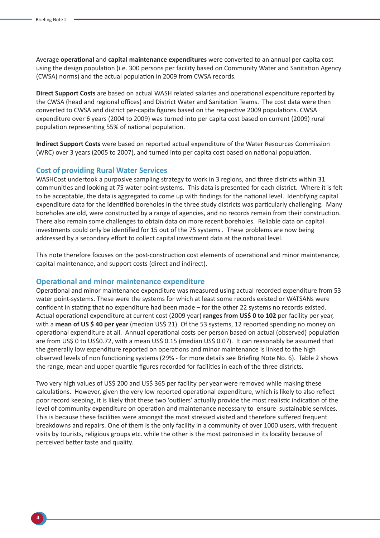Average **operational** and **capital maintenance expenditures** were converted to an annual per capita cost using the design population (i.e. 300 persons per facility based on Community Water and Sanitation Agency (CWSA) norms) and the actual population in 2009 from CWSA records.

**Direct Support Costs** are based on actual WASH related salaries and operational expenditure reported by the CWSA (head and regional offices) and District Water and Sanitation Teams. The cost data were then converted to CWSA and district per-capita figures based on the respective 2009 populations. CWSA expenditure over 6 years (2004 to 2009) was turned into per capita cost based on current (2009) rural population representing 55% of national population.

**Indirect Support Costs** were based on reported actual expenditure of the Water Resources Commission (WRC) over 3 years (2005 to 2007), and turned into per capita cost based on national population.

#### **Cost of providing Rural Water Services**

WASHCost undertook a purposive sampling strategy to work in 3 regions, and three districts within 31 communities and looking at 75 water point-systems. This data is presented for each district. Where it is felt to be acceptable, the data is aggregated to come up with findings for the national level. Identifying capital expenditure data for the identified boreholes in the three study districts was particularly challenging. Many boreholes are old, were constructed by a range of agencies, and no records remain from their construction. There also remain some challenges to obtain data on more recent boreholes. Reliable data on capital investments could only be identified for 15 out of the 75 systems . These problems are now being addressed by a secondary effort to collect capital investment data at the national level.

This note therefore focuses on the post-construction cost elements of operational and minor maintenance, capital maintenance, and support costs (direct and indirect).

#### **Operational and minor maintenance expenditure**

Operational and minor maintenance expenditure was measured using actual recorded expenditure from 53 water point-systems. These were the systems for which at least some records existed or WATSANs were confident in stating that no expenditure had been made – for the other 22 systems no records existed. Actual operational expenditure at current cost (2009 year) **ranges from US\$ 0 to 102** per facility per year, with a **mean of US \$ 40 per year** (median US\$ 21). Of the 53 systems, 12 reported spending no money on operational expenditure at all. Annual operational costs per person based on actual (observed) population are from US\$ 0 to US\$0.72, with a mean US\$ 0.15 (median US\$ 0.07). It can reasonably be assumed that the generally low expenditure reported on operations and minor maintenance is linked to the high observed levels of non functioning systems (29% - for more details see Briefing Note No. 6). Table 2 shows the range, mean and upper quartile figures recorded for facilities in each of the three districts.

Two very high values of US\$ 200 and US\$ 365 per facility per year were removed while making these calculations. However, given the very low reported operational expenditure, which is likely to also reflect poor record keeping, it is likely that these two 'outliers' actually provide the most realistic indication of the level of community expenditure on operation and maintenance necessary to ensure sustainable services. This is because these facilities were amongst the most stressed visited and therefore suffered frequent breakdowns and repairs. One of them is the only facility in a community of over 1000 users, with frequent visits by tourists, religious groups etc. while the other is the most patronised in its locality because of perceived better taste and quality.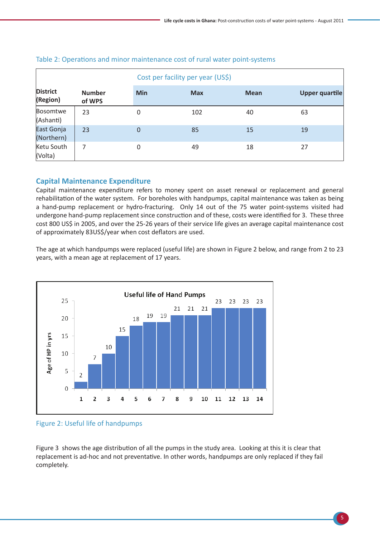|                             |                         | Cost per facility per year (US\$) |            |             |                       |
|-----------------------------|-------------------------|-----------------------------------|------------|-------------|-----------------------|
| <b>District</b><br>(Region) | <b>Number</b><br>of WPS | <b>Min</b>                        | <b>Max</b> | <b>Mean</b> | <b>Upper quartile</b> |
| Bosomtwe<br>(Ashanti)       | 23                      | $\overline{0}$                    | 102        | 40          | 63                    |
| East Gonja<br>(Northern)    | 23                      | $\overline{0}$                    | 85         | 15          | 19                    |
| Ketu South<br>(Volta)       | 7                       | $\Omega$                          | 49         | 18          | 27                    |

#### Table 2: Operations and minor maintenance cost of rural water point-systems

#### **Capital Maintenance Expenditure**

Capital maintenance expenditure refers to money spent on asset renewal or replacement and general rehabilitation of the water system. For boreholes with handpumps, capital maintenance was taken as being a hand-pump replacement or hydro-fracturing. Only 14 out of the 75 water point-systems visited had undergone hand-pump replacement since construction and of these, costs were identified for 3. These three cost 800 US\$ in 2005, and over the 25-26 years of their service life gives an average capital maintenance cost of approximately 83US\$/year when cost deflators are used.

The age at which handpumps were replaced (useful life) are shown in Figure 2 below, and range from 2 to 23 years, with a mean age at replacement of 17 years.



Figure 2: Useful life of handpumps

Figure 3 shows the age distribution of all the pumps in the study area. Looking at this it is clear that replacement is ad-hoc and not preventative. In other words, handpumps are only replaced if they fail completely.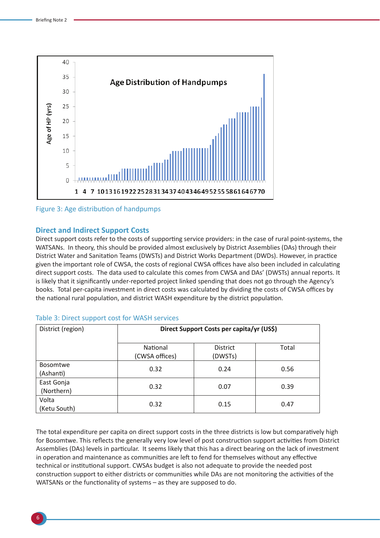

Figure 3: Age distribution of handpumps

#### **Direct and Indirect Support Costs**

Direct support costs refer to the costs of supporting service providers: in the case of rural point-systems, the WATSANs. In theory, this should be provided almost exclusively by District Assemblies (DAs) through their District Water and Sanitation Teams (DWSTs) and District Works Department (DWDs). However, in practice given the important role of CWSA, the costs of regional CWSA offices have also been included in calculating direct support costs. The data used to calculate this comes from CWSA and DAs' (DWSTs) annual reports. It is likely that it significantly under-reported project linked spending that does not go through the Agency's books. Total per-capita investment in direct costs was calculated by dividing the costs of CWSA offices by the national rural population, and district WASH expenditure by the district population.

| District (region)            | Direct Support Costs per capita/yr (US\$) |                            |       |  |  |
|------------------------------|-------------------------------------------|----------------------------|-------|--|--|
|                              | National<br>(CWSA offices)                | <b>District</b><br>(DWSTs) | Total |  |  |
| <b>Bosomtwe</b><br>(Ashanti) | 0.32                                      | 0.24                       | 0.56  |  |  |
| East Gonja<br>(Northern)     | 0.32                                      | 0.07                       | 0.39  |  |  |
| Volta<br>(Ketu South)        | 0.32                                      | 0.15                       | 0.47  |  |  |

#### Table 3: Direct support cost for WASH services

The total expenditure per capita on direct support costs in the three districts is low but comparatively high for Bosomtwe. This reflects the generally very low level of post construction support activities from District Assemblies (DAs) levels in particular. It seems likely that this has a direct bearing on the lack of investment in operation and maintenance as communities are left to fend for themselves without any effective technical or institutional support. CWSAs budget is also not adequate to provide the needed post construction support to either districts or communities while DAs are not monitoring the activities of the WATSANs or the functionality of systems – as they are supposed to do.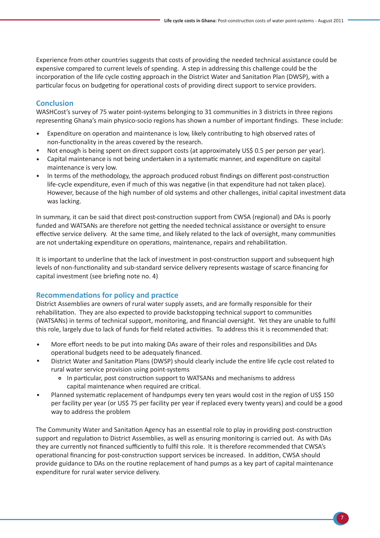Experience from other countries suggests that costs of providing the needed technical assistance could be expensive compared to current levels of spending. A step in addressing this challenge could be the incorporation of the life cycle costing approach in the District Water and Sanitation Plan (DWSP), with a particular focus on budgeting for operational costs of providing direct support to service providers.

#### **Conclusion**

WASHCost's survey of 75 water point-systems belonging to 31 communities in 3 districts in three regions representing Ghana's main physico-socio regions has shown a number of important findings. These include:

- $\bullet$ Expenditure on operation and maintenance is low, likely contributing to high observed rates of non-functionality in the areas covered by the research.
- Not enough is being spent on direct support costs (at approximately US\$ 0.5 per person per year).
- Capital maintenance is not being undertaken in a systematic manner, and expenditure on capital maintenance is very low.
- In terms of the methodology, the approach produced robust findings on different post-construction life-cycle expenditure, even if much of this was negative (in that expenditure had not taken place). However, because of the high number of old systems and other challenges, initial capital investment data was lacking.

In summary, it can be said that direct post-construction support from CWSA (regional) and DAs is poorly funded and WATSANs are therefore not getting the needed technical assistance or oversight to ensure effective service delivery. At the same time, and likely related to the lack of oversight, many communities are not undertaking expenditure on operations, maintenance, repairs and rehabilitation.

It is important to underline that the lack of investment in post-construction support and subsequent high levels of non-functionality and sub-standard service delivery represents wastage of scarce financing for capital investment (see briefing note no. 4)

#### **Recommendations for policy and practice**

District Assemblies are owners of rural water supply assets, and are formally responsible for their rehabilitation. They are also expected to provide backstopping technical support to communities (WATSANs) in terms of technical support, monitoring, and financial oversight. Yet they are unable to fulfil this role, largely due to lack of funds for field related activities. To address this it is recommended that:

- More effort needs to be put into making DAs aware of their roles and responsibilities and DAs operational budgets need to be adequately financed.
- District Water and Sanitation Plans (DWSP) should clearly include the entire life cycle cost related to rural water service provision using point-systems
	- In particular, post construction support to WATSANs and mechanisms to address capital maintenance when required are critical.
- Planned systematic replacement of handpumps every ten years would cost in the region of US\$ 150 per facility per year (or US\$ 75 per facility per year if replaced every twenty years) and could be a good way to address the problem

The Community Water and Sanitation Agency has an essential role to play in providing post-construction support and regulation to District Assemblies, as well as ensuring monitoring is carried out. As with DAs they are currently not financed sufficiently to fulfil this role. It is therefore recommended that CWSA's operational financing for post-construction support services be increased. In addition, CWSA should provide guidance to DAs on the routine replacement of hand pumps as a key part of capital maintenance expenditure for rural water service delivery.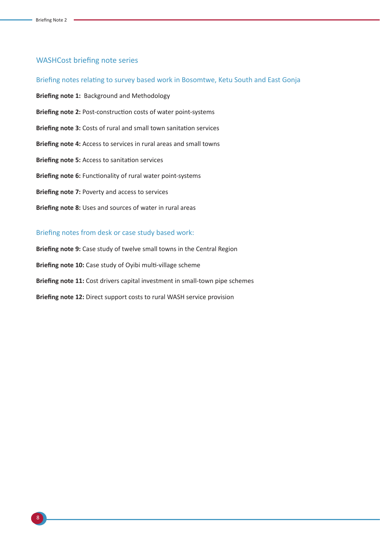#### WASHCost briefing note series

Briefing notes relating to survey based work in Bosomtwe, Ketu South and East Gonja **Briefing note 1:** Background and Methodology **Briefing note 2:** Post-construction costs of water point-systems **Briefing note 3:** Costs of rural and small town sanitation services **Briefing note 4:** Access to services in rural areas and small towns **Briefing note 5:** Access to sanitation services **Briefing note 6:** Functionality of rural water point-systems **Briefing note 7:** Poverty and access to services **Briefing note 8:** Uses and sources of water in rural areas

#### Briefing notes from desk or case study based work:

**Briefing note 9:** Case study of twelve small towns in the Central Region **Briefing note 10:** Case study of Oyibi multi-village scheme **Briefing note 11:** Cost drivers capital investment in small-town pipe schemes **Briefing note 12:** Direct support costs to rural WASH service provision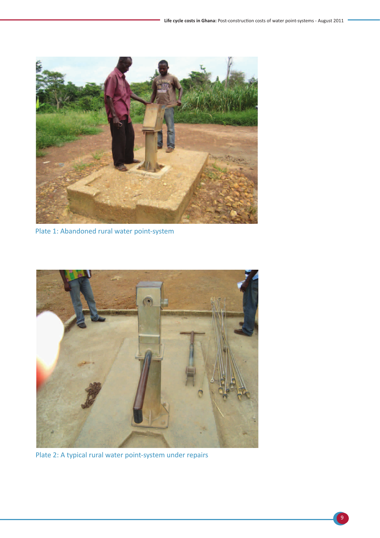

Plate 1: Abandoned rural water point-system



Plate 2: A typical rural water point-system under repairs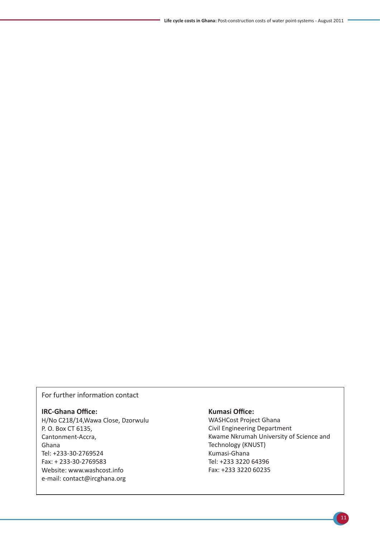#### For further information contact

#### **IRC-Ghana Office:**

H/No C218/14,Wawa Close, Dzorwulu P. O. Box CT 6135, Cantonment-Accra, Ghana Tel: +233-30-2769524 Fax: + 233-30-2769583 Website: www.washcost.info e-mail: contact@ircghana.org

#### **Kumasi Office:**

WASHCost Project Ghana Civil Engineering Department Kwame Nkrumah University of Science and Technology (KNUST) Kumasi-Ghana Tel: +233 3220 64396 Fax: +233 3220 60235